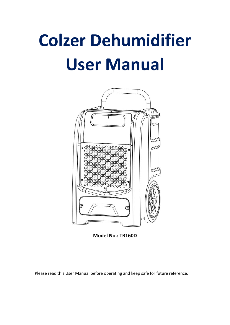# **Colzer Dehumidifier User Manual**



**Model No.: TR160D**

Please read this User Manual before operating and keep safe for future reference.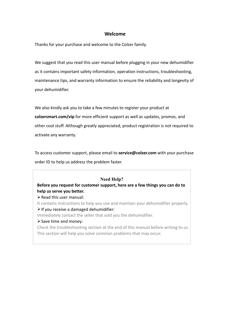## **Welcome**

Thanks for your purchase and welcome to the Colzer family.

We suggest that you read this user manual before plugging in your new dehumidifier as it contains important safety information, operation instructions, troubleshooting, maintenance tips, and warranty information to ensure the reliability and longevity of your dehumidifier.

We also kindly ask you to take a few minutes to register your product at **colzersmart.com/vip** for more efficient support as well as updates, promos, and other cool stuff. Although greatly appreciated, product registration is not required to activate any warranty.

To access customer support, please email to **service@colzer.com** with your purchase order ID to help us address the problem faster.

#### **Need Help?**

**Before you request for customer support, here are a few things you can do to help us serve you better.**

 $\triangleright$  Read this user manual:

It contains instructions to help you use and maintain your dehumidifier properly.  $\triangleright$  If you receive a damaged dehumidifier:

Immediately contact the seller that sold you the dehumidifier.

 $\triangleright$  Save time and money:

Check the troubleshooting section at the end of this manual before writing to us. This section will help you solve common problems that may occur.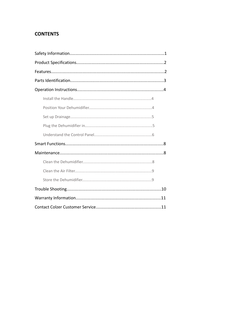## **CONTENTS**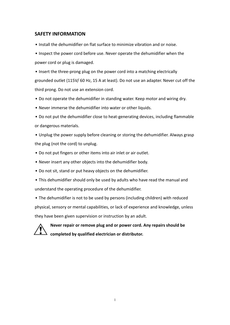## **SAFETY INFORMATION**

- Install the dehumidifier on flat surface to minimize vibration and or noise.
- Inspect the power cord before use. Never operate the dehumidifier when the power cord or plug is damaged.
- Insert the three-prong plug on the power cord into a matching electrically grounded outlet (115V/ 60 Hz, 15 A at least). Do not use an adapter. Never cut off the third prong. Do not use an extension cord.
- Do not operate the dehumidifier in standing water. Keep motor and wiring dry.
- Never immerse the dehumidifier into water or other liquids.
- Do not put the dehumidifier close to heat-generating devices, including flammable or dangerous materials.
- Unplug the power supply before cleaning or storing the dehumidifier. Always grasp the plug (not the cord) to unplug.
- Do not put fingers or other items into air inlet or air outlet.
- Never insert any other objects into the dehumidifier body.
- Do not sit, stand or put heavy objects on the dehumidifier.
- This dehumidifier should only be used by adults who have read the manual and understand the operating procedure of the dehumidifier.

• The dehumidifier is not to be used by persons (including children) with reduced physical, sensory or mental capabilities, or lack of experience and knowledge, unless they have been given supervision or instruction by an adult.



**Never repair or remove plug and or power cord. Any repairs should be completed byqualified electrician or distributor.**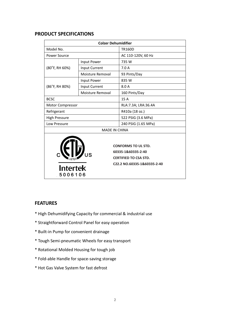## **PRODUCT SPECIFICATIONS**

| <b>Colzer Dehumidifier</b> |                      |                                                                                                                 |  |  |
|----------------------------|----------------------|-----------------------------------------------------------------------------------------------------------------|--|--|
| Model No.                  |                      | <b>TR160D</b>                                                                                                   |  |  |
| <b>Power Source</b>        |                      | AC 110-120V, 60 Hz                                                                                              |  |  |
|                            | Input Power          | 735 W                                                                                                           |  |  |
| (80°F, RH 60%)             | Input Current        | 7.0A                                                                                                            |  |  |
|                            | Moisture Removal     | 93 Pints/Day                                                                                                    |  |  |
|                            | Input Power          | 835 W                                                                                                           |  |  |
| (86°F, RH 80%)             | Input Current        | 8.0 A                                                                                                           |  |  |
|                            | Moisture Removal     | 160 Pints/Day                                                                                                   |  |  |
| <b>BCSC</b>                |                      | 15 A                                                                                                            |  |  |
| Motor Compressor           |                      | RLA: 7.3A; LRA: 36.4A                                                                                           |  |  |
| Refrigerant                |                      | R410a (18 oz.)                                                                                                  |  |  |
| <b>High Pressure</b>       |                      | 522 PSIG (3.6 MPa)                                                                                              |  |  |
| Low Pressure               |                      | 240 PSIG (1.65 MPa)                                                                                             |  |  |
|                            | <b>MADE IN CHINA</b> |                                                                                                                 |  |  |
| <b>Intertek</b><br>5006106 |                      | <b>CONFORMS TO UL STD.</b><br>60335-1&60335-2-40<br><b>CERTIFIED TO CSA STD.</b><br>C22.2 NO.60335-1&60335-2-40 |  |  |

## **FEATURES**

- \* High Dehumidifying Capacity for commercial & industrial use
- \* Straightforward Control Panelfor easy operation
- \* Built-in Pump for convenient drainage
- \* Tough Semi-pneumatic Wheels for easy transport
- \* Rotational Molded Housing for tough job
- \* Fold-able Handle for space-saving storage
- \* Hot Gas Valve System for fast defrost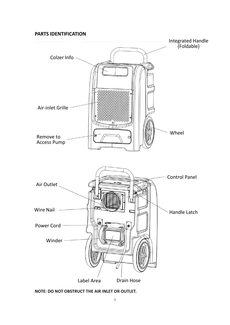## **PARTS IDENTIFICATION**



**NOTE: DO NOT OBSTRUCT THE AIR INLET OR OUTLET.**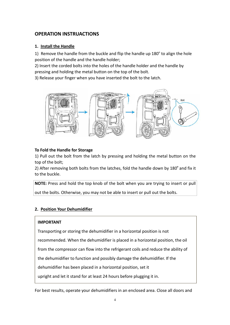## **OPERATION INSTRUACTIONS**

## **1. Install the Handle**

1) Remove the handle from the buckle and flip the handle up  $180^\circ$  to align the hole position of the handle and the handle holder;

2) Insert the corded bolts into the holes of the handle holder and the handle by pressing and holding the metal button on the top of the bolt.

3) Release your finger when you have inserted the bolt to the latch.



## **To Fold the Handle for Storage**

1) Pull out the bolt from the latch by pressing and holding the metal button on the top of the bolt;

2) After removing both bolts from the latches, fold the handle down by 180° and fix it to the buckle.

**NOTE:** Press and hold the top knob of the bolt when you are trying to insert or pull out the bolts. Otherwise, you may not be able to insert or pull out the bolts.

## **2. Position Your Dehumidifier**

## **IMPORTANT**

Transporting or storing the dehumidifier in a horizontal position is not recommended. When the dehumidifier is placed in a horizontal position, the oil from the compressor can flow into the refrigerant coils and reduce the ability of the dehumidifier to function and possibly damage the dehumidifier. If the dehumidifier has been placed in a horizontal position, set it upright and let it stand for at least 24 hours before plugging it in.

For best results, operate your dehumidifiers in an enclosed area. Close all doors and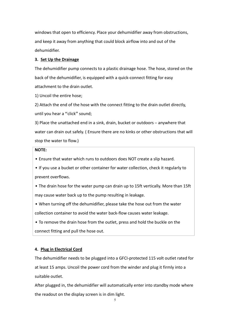windows that open to efficiency. Place your dehumidifier away from obstructions, and keep it away from anything that could block airflow into and out of the dehumidifier.

#### **3. Set Up the Drainage**

The dehumidifier pump connects to a plastic drainage hose. The hose, stored on the back of the dehumidifier, is equipped with a quick-connect fitting for easy attachment to the drain outlet.

1) Uncoil the entire hose;

2) Attach the end of the hose with the connect fitting to the drain outlet directly, until you hear a "click" sound;

3) Place the unattached end in a sink, drain, bucket or outdoors – anywhere that water can drain out safely. (Ensure there are no kinks or other obstructions that will stop the water to flow.)

## **NOTE:**

• Ensure that water which runs to outdoors does NOT create a slip hazard.

• If youuse a bucket or other container for water collection, check it regularly to prevent overflows.

• The drain hose for the water pump can drain up to 15ft vertically. More than 15ft may cause water back up to the pump resulting in leakage.

• When turning off the dehumidifier, please take the hose out from the water collection container to avoid the water back-flow causes water leakage.

• To remove the drain hose from the outlet, press and hold the buckle on the connect fitting and pull the hose out.

#### **4. Plug in Electrical Cord**

The dehumidifier needs to be plugged into a GFCI-protected 115 volt outlet rated for at least 15 amps. Uncoil the power cord from the winder and plug it firmly into a suitable outlet.

After plugged in, the dehumidifier will automatically enter into standby mode where the readout on the display screen is in dim light.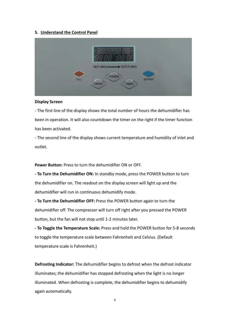#### **5. Understand the Control Panel**

|             | 3888 88<br>昌昌<br>7                                                                           | s              |
|-------------|----------------------------------------------------------------------------------------------|----------------|
| <b>FULL</b> | $IN(F, %RH)$ $\longrightarrow$ $OUT(F, %RH)$<br><b>POWER</b><br><b>PURGE</b><br><b>TIMER</b> | <b>DEFROST</b> |

#### **Display Screen**

- The first line of the display shows the total number of hours the dehumidifier has been in operation. It will also countdown the timer on the right if the timer function has been activated.

- The second line of the display shows current temperature and humidity of inlet and outlet.

**Power Button:** Press to turn the dehumidifier ON or OFF.

**- To Turn the Dehumidifier ON:** In standby mode, press the POWER button to turn the dehumidifier on. The readout on the display screen will light up and the dehumidifier will run in continuous dehumidify mode.

**- To Turn the Dehumidifier OFF:** Press the POWER button again to turn the dehumidifier off. The compressor will turn off right after you pressed the POWER button, but the fan will not stop until 1-2 minutes later.

**- To Toggle the Temperature Scale:** Press and hold the POWER button for 5-8 seconds to toggle the temperature scale between Fahrenheit and Celsius. (Default temperature scale is Fahrenheit.)

**Defrosting Indicator:** The dehumidifier begins to defrost when the defrostindicator illuminates; the dehumidifier has stopped defrosting when the light is no longer illuminated. When defrosting is complete, the dehumidifier begins to dehumidify again automatically.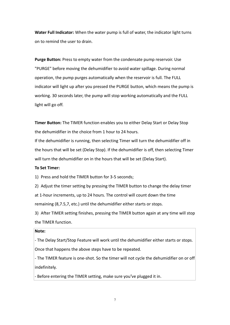**Water Full Indicator:** When the water pump is full of water, the indicator light turns on to remind the user to drain.

**Purge Button:** Press to empty water from the condensate pump reservoir. Use "PURGE" before moving the dehumidifier to avoid water spillage. During normal operation, the pump purges automatically when the reservoir is full. The FULL indicator will light up after you pressed the PURGE button, which means the pump is working. 30 seconds later, the pump will stop working automatically and the FULL light will go off.

**Timer Button:** The TIMER function enables you to either Delay Start or Delay Stop the dehumidifier in the choice from 1 hour to 24 hours.

If the dehumidifier is running, then selecting Timer will turn the dehumidifier off in the hours that will be set (Delay Stop). If the dehumidifier is off, then selecting Timer will turn the dehumidifier on in the hours that will be set (Delay Start).

#### **To Set Timer:**

1) Press and hold the TIMER button for 3-5 seconds;

2) Adjust the timer setting by pressing the TIMER button to change the delay timer at 1-hour increments, up to 24 hours. The control will count down the time remaining (8,7.5,7, etc.) until the dehumidifier either starts or stops.

3) After TIMER setting finishes, pressing the TIMER button again at any time will stop the TIMER function.

#### **Note:**

- The Delay Start/Stop Feature will work until the dehumidifier either starts or stops. Once that happens the above steps have to be repeated.

- The TIMER feature is one-shot. So the timer will not cycle the dehumidifier on or off indefinitely.

- Before entering the TIMER setting, make sure you've plugged it in.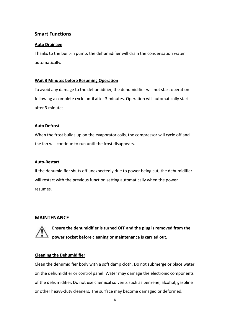## **Smart Functions**

## **Auto Drainage**

Thanks to the built-in pump, the dehumidifier will drain the condensation water automatically.

## **Wait 3 Minutes before Resuming Operation**

To avoid any damage to the dehumidifier, the dehumidifier will not start operation following a complete cycle until after 3 minutes. Operation will automatically start after 3 minutes.

## **Auto Defrost**

When the frost builds up on the evaporator coils, the compressor will cycle off and the fan will continue to run until the frost disappears.

## **Auto-Restart**

If the dehumidifier shuts off unexpectedly due to power being cut, the dehumidifier will restart with the previous function setting automatically when the power resumes.

## **MAINTENANCE**



**Ensure the dehumidifier is turned OFF and the plug is removed from the power socket before cleaning or maintenance is carried out.**

## **Cleaning the Dehumidifier**

Clean the dehumidifier body with a soft damp cloth. Do not submerge or place water on the dehumidifier or control panel. Water may damage the electronic components of the dehumidifier. Do not use chemical solvents such as benzene, alcohol, gasoline or other heavy-duty cleaners. The surface may become damaged or deformed.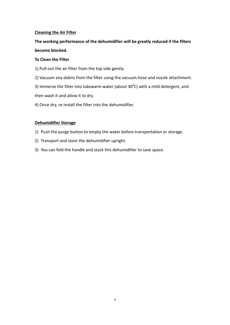## **Cleaning the Air Filter**

# **The working performance of the dehumidifier will be greatly reduced if the filters become blocked.**

## **To Clean the Filter**

- 1) Pull out the air filter from the top side gently.
- 2) Vacuum any debris from the filter using the vacuum hose and nozzle attachment.

3) Immerse the filter into lukewarm water (about 40°C) with a mild detergent, and

then wash it and allow it to dry.

4) Once dry, re-install the filter into the dehumidifier.

## **Dehumidifier Storage**

- 1) Push the purge button to empty the water before transportation or storage.
- 2) Transport and store the dehumidifier upright.
- 3) You can fold the handle and stack this dehumidifier to save space.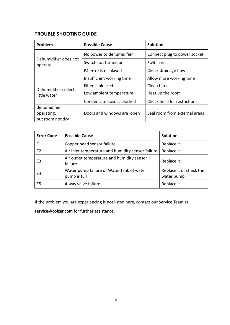## **TROUBLE SHOOTING GUIDE**

| Problem                               | <b>Possible Cause</b>      | <b>Solution</b>               |
|---------------------------------------|----------------------------|-------------------------------|
| Dehumidifier does not<br>operate      | No power to dehumidifier   | Connect plug to power socket  |
|                                       | Switch not turned on       | Switch on                     |
|                                       | E4 error is displayed      | Check drainage flow           |
| Dehumidifier collects<br>little water | Insufficient working time  | Allow more working time       |
|                                       | Filter is blocked          | Clean filter                  |
|                                       | Low ambient temperature    | Heat up the room              |
|                                       | Condensate hose is blocked | Check hose for restrictions   |
| dehumidifier                          |                            |                               |
| operating,                            | Doors and windows are open | Seal room from external areas |
| but room not dry                      |                            |                               |

| <b>Error Code</b> | <b>Possible Cause</b>                                     | <b>Solution</b>                       |
|-------------------|-----------------------------------------------------------|---------------------------------------|
| E1                | Copper head sensor failure                                | Replace it                            |
| E <sub>2</sub>    | Air inlet temperature and humidity sensor failure         | Replace it                            |
| E3                | Air outlet temperature and humidity sensor<br>failure     | Replace it                            |
| E4                | Water pump failure or Water tank of water<br>pump is full | Replace it or check the<br>water pump |
| E5                | 4-way valve failure                                       | Replace it                            |

If the problem you are experiencing is not listed here, contact our Service Team at

**service@colzer.com** for further assistance**.**